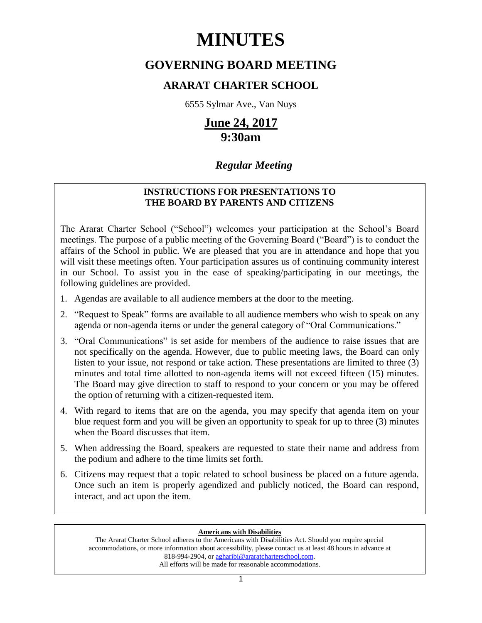# **MINUTES**

# **GOVERNING BOARD MEETING**

## **ARARAT CHARTER SCHOOL**

6555 Sylmar Ave., Van Nuys

# **June 24, 2017 9:30am**

# *Regular Meeting*

### **INSTRUCTIONS FOR PRESENTATIONS TO THE BOARD BY PARENTS AND CITIZENS**

The Ararat Charter School ("School") welcomes your participation at the School's Board meetings. The purpose of a public meeting of the Governing Board ("Board") is to conduct the affairs of the School in public. We are pleased that you are in attendance and hope that you will visit these meetings often. Your participation assures us of continuing community interest in our School. To assist you in the ease of speaking/participating in our meetings, the following guidelines are provided.

- 1. Agendas are available to all audience members at the door to the meeting.
- 2. "Request to Speak" forms are available to all audience members who wish to speak on any agenda or non-agenda items or under the general category of "Oral Communications."
- 3. "Oral Communications" is set aside for members of the audience to raise issues that are not specifically on the agenda. However, due to public meeting laws, the Board can only listen to your issue, not respond or take action. These presentations are limited to three (3) minutes and total time allotted to non-agenda items will not exceed fifteen (15) minutes. The Board may give direction to staff to respond to your concern or you may be offered the option of returning with a citizen-requested item.
- 4. With regard to items that are on the agenda, you may specify that agenda item on your blue request form and you will be given an opportunity to speak for up to three (3) minutes when the Board discusses that item.
- 5. When addressing the Board, speakers are requested to state their name and address from the podium and adhere to the time limits set forth.
- 6. Citizens may request that a topic related to school business be placed on a future agenda. Once such an item is properly agendized and publicly noticed, the Board can respond, interact, and act upon the item.

#### **Americans with Disabilities**

The Ararat Charter School adheres to the Americans with Disabilities Act. Should you require special accommodations, or more information about accessibility, please contact us at least 48 hours in advance at 818-994-2904, or [agharibi@araratcharterschool.com.](mailto:agharibi@araratcharterschool.com)  All efforts will be made for reasonable accommodations.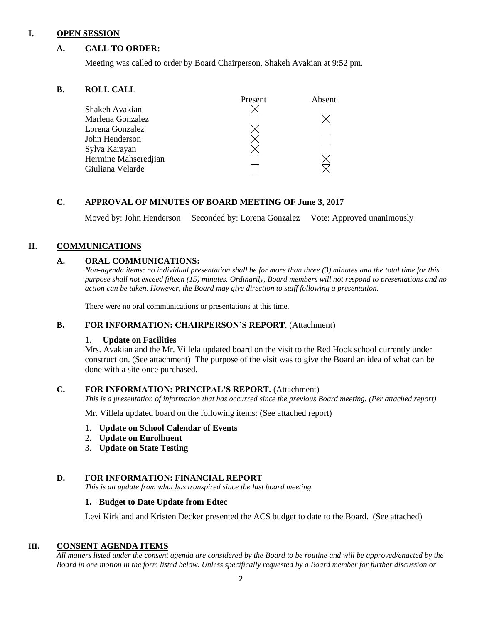#### **I. OPEN SESSION**

#### **A. CALL TO ORDER:**

Meeting was called to order by Board Chairperson, Shakeh Avakian at 9:52 pm.

#### **B. ROLL CALL**

|                      | Present | Absent |
|----------------------|---------|--------|
| Shakeh Avakian       |         |        |
| Marlena Gonzalez     |         |        |
| Lorena Gonzalez      |         |        |
| John Henderson       |         |        |
| Sylva Karayan        |         |        |
| Hermine Mahseredjian |         |        |
| Giuliana Velarde     |         |        |
|                      |         |        |

#### **C. APPROVAL OF MINUTES OF BOARD MEETING OF June 3, 2017**

Moved by: John Henderson Seconded by: Lorena Gonzalez Vote: Approved unanimously

#### **II. COMMUNICATIONS**

#### **A. ORAL COMMUNICATIONS:**

*Non-agenda items: no individual presentation shall be for more than three (3) minutes and the total time for this purpose shall not exceed fifteen (15) minutes. Ordinarily, Board members will not respond to presentations and no action can be taken. However, the Board may give direction to staff following a presentation.*

There were no oral communications or presentations at this time.

#### **B. FOR INFORMATION: CHAIRPERSON'S REPORT**. (Attachment)

#### 1. **Update on Facilities**

Mrs. Avakian and the Mr. Villela updated board on the visit to the Red Hook school currently under construction. (See attachment) The purpose of the visit was to give the Board an idea of what can be done with a site once purchased.

#### **C. FOR INFORMATION: PRINCIPAL'S REPORT.** (Attachment)

*This is a presentation of information that has occurred since the previous Board meeting. (Per attached report)*

Mr. Villela updated board on the following items: (See attached report)

- 1. **Update on School Calendar of Events**
- 2. **Update on Enrollment**
- 3. **Update on State Testing**

#### **D. FOR INFORMATION: FINANCIAL REPORT**

*This is an update from what has transpired since the last board meeting.* 

#### **1. Budget to Date Update from Edtec**

Levi Kirkland and Kristen Decker presented the ACS budget to date to the Board. (See attached)

#### **III. CONSENT AGENDA ITEMS**

*All matters listed under the consent agenda are considered by the Board to be routine and will be approved/enacted by the Board in one motion in the form listed below. Unless specifically requested by a Board member for further discussion or*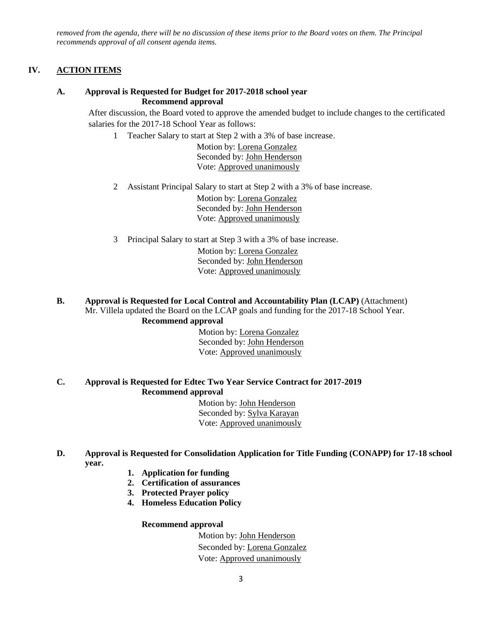*removed from the agenda, there will be no discussion of these items prior to the Board votes on them. The Principal recommends approval of all consent agenda items.*

#### **IV. ACTION ITEMS**

#### **A. Approval is Requested for Budget for 2017-2018 school year Recommend approval**

After discussion, the Board voted to approve the amended budget to include changes to the certificated salaries for the 2017-18 School Year as follows:

1 Teacher Salary to start at Step 2 with a 3% of base increase.

 Motion by: Lorena Gonzalez Seconded by: John Henderson Vote: Approved unanimously

2 Assistant Principal Salary to start at Step 2 with a 3% of base increase.

 Motion by: Lorena Gonzalez Seconded by: John Henderson Vote: Approved unanimously

3 Principal Salary to start at Step 3 with a 3% of base increase.

 Motion by: Lorena Gonzalez Seconded by: John Henderson Vote: Approved unanimously

#### **B. Approval is Requested for Local Control and Accountability Plan (LCAP)** (Attachment) Mr. Villela updated the Board on the LCAP goals and funding for the 2017-18 School Year. **Recommend approval**

#### Motion by: Lorena Gonzalez Seconded by: John Henderson Vote: Approved unanimously

#### **C. Approval is Requested for Edtec Two Year Service Contract for 2017-2019 Recommend approval**

 Motion by: John Henderson Seconded by: Sylva Karayan Vote: Approved unanimously

#### **D. Approval is Requested for Consolidation Application for Title Funding (CONAPP) for 17-18 school year.**

- **1. Application for funding**
- **2. Certification of assurances**
- **3. Protected Prayer policy**
- **4. Homeless Education Policy**

#### **Recommend approval**

Motion by: John Henderson Seconded by: Lorena Gonzalez Vote: Approved unanimously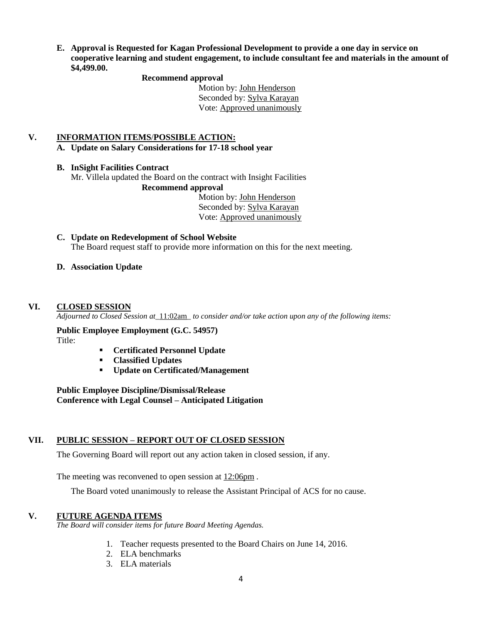**E. Approval is Requested for Kagan Professional Development to provide a one day in service on cooperative learning and student engagement, to include consultant fee and materials in the amount of \$4,499.00.**

#### **Recommend approval**

 Motion by: John Henderson Seconded by: Sylva Karayan Vote: Approved unanimously

#### **V. INFORMATION ITEMS**/**POSSIBLE ACTION:**

**A. Update on Salary Considerations for 17-18 school year**

#### **B. InSight Facilities Contract**

Mr. Villela updated the Board on the contract with Insight Facilities

#### **Recommend approval**

 Motion by: John Henderson Seconded by: Sylva Karayan Vote: Approved unanimously

#### **C. Update on Redevelopment of School Website**  The Board request staff to provide more information on this for the next meeting.

#### **D. Association Update**

#### **VI. CLOSED SESSION**

*Adjourned to Closed Session at\_*11:02am*\_ to consider and/or take action upon any of the following items:*

#### **Public Employee Employment (G.C. 54957)** Title:

- **Certificated Personnel Update**
- **Classified Updates**
- **Update on Certificated/Management**

**Public Employee Discipline/Dismissal/Release Conference with Legal Counsel – Anticipated Litigation**

#### **VII. PUBLIC SESSION – REPORT OUT OF CLOSED SESSION**

The Governing Board will report out any action taken in closed session, if any.

The meeting was reconvened to open session at 12:06pm .

The Board voted unanimously to release the Assistant Principal of ACS for no cause.

#### **V. FUTURE AGENDA ITEMS**

*The Board will consider items for future Board Meeting Agendas.*

- 1. Teacher requests presented to the Board Chairs on June 14, 2016.
- 2. ELA benchmarks
- 3. ELA materials